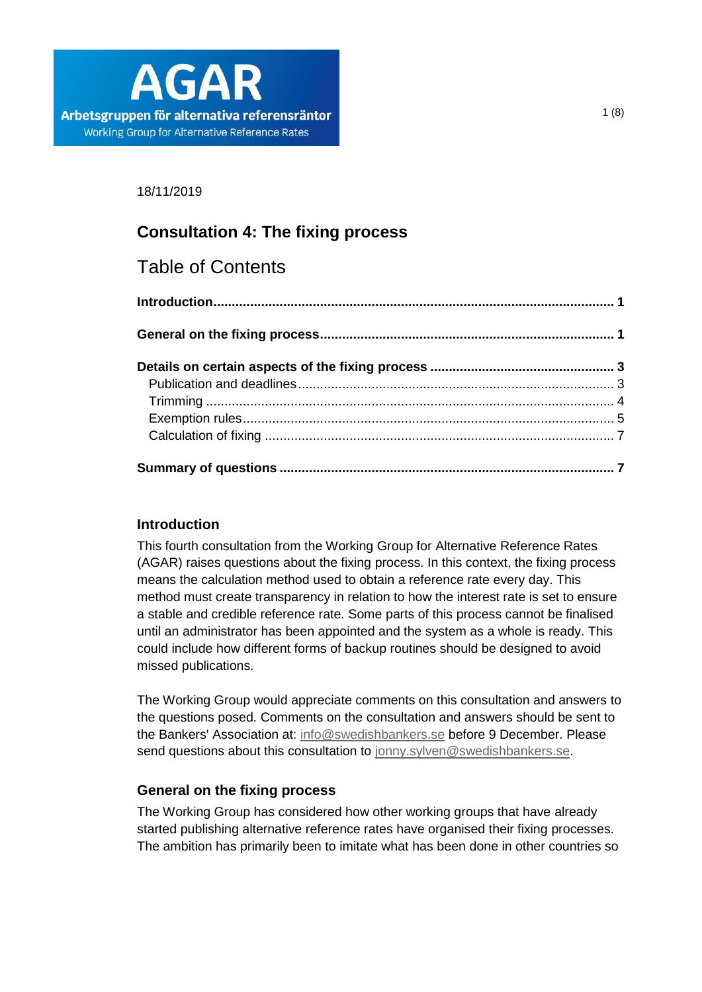

18/11/2019

# **Consultation 4: The fixing process**

# Table of Contents

# <span id="page-0-0"></span>**Introduction**

This fourth consultation from the Working Group for Alternative Reference Rates (AGAR) raises questions about the fixing process. In this context, the fixing process means the calculation method used to obtain a reference rate every day. This method must create transparency in relation to how the interest rate is set to ensure a stable and credible reference rate. Some parts of this process cannot be finalised until an administrator has been appointed and the system as a whole is ready. This could include how different forms of backup routines should be designed to avoid missed publications.

The Working Group would appreciate comments on this consultation and answers to the questions posed. Comments on the consultation and answers should be sent to the Bankers' Association at: [info@swedishbankers.se](mailto:info@swedishbankers.se) before 9 December. Please send questions about this consultation to [jonny.sylven@swedishbankers.se.](mailto:jonny.sylven@swedishbankers.se)

# <span id="page-0-1"></span>**General on the fixing process**

The Working Group has considered how other working groups that have already started publishing alternative reference rates have organised their fixing processes. The ambition has primarily been to imitate what has been done in other countries so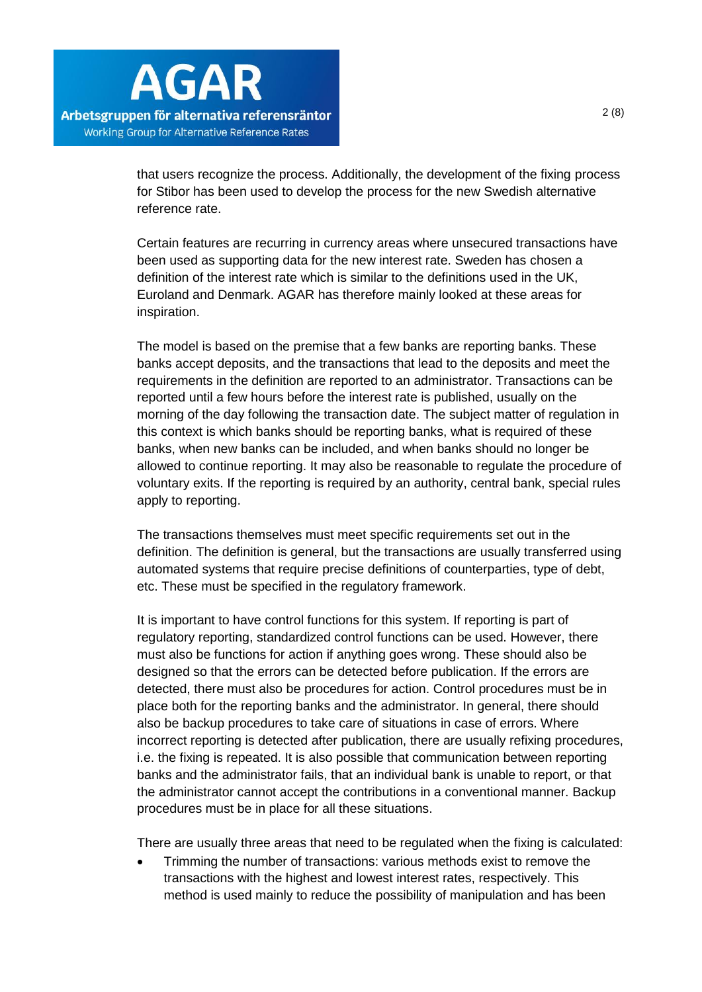that users recognize the process. Additionally, the development of the fixing process for Stibor has been used to develop the process for the new Swedish alternative reference rate.

Certain features are recurring in currency areas where unsecured transactions have been used as supporting data for the new interest rate. Sweden has chosen a definition of the interest rate which is similar to the definitions used in the UK, Euroland and Denmark. AGAR has therefore mainly looked at these areas for inspiration.

The model is based on the premise that a few banks are reporting banks. These banks accept deposits, and the transactions that lead to the deposits and meet the requirements in the definition are reported to an administrator. Transactions can be reported until a few hours before the interest rate is published, usually on the morning of the day following the transaction date. The subject matter of regulation in this context is which banks should be reporting banks, what is required of these banks, when new banks can be included, and when banks should no longer be allowed to continue reporting. It may also be reasonable to regulate the procedure of voluntary exits. If the reporting is required by an authority, central bank, special rules apply to reporting.

The transactions themselves must meet specific requirements set out in the definition. The definition is general, but the transactions are usually transferred using automated systems that require precise definitions of counterparties, type of debt, etc. These must be specified in the regulatory framework.

It is important to have control functions for this system. If reporting is part of regulatory reporting, standardized control functions can be used. However, there must also be functions for action if anything goes wrong. These should also be designed so that the errors can be detected before publication. If the errors are detected, there must also be procedures for action. Control procedures must be in place both for the reporting banks and the administrator. In general, there should also be backup procedures to take care of situations in case of errors. Where incorrect reporting is detected after publication, there are usually refixing procedures, i.e. the fixing is repeated. It is also possible that communication between reporting banks and the administrator fails, that an individual bank is unable to report, or that the administrator cannot accept the contributions in a conventional manner. Backup procedures must be in place for all these situations.

There are usually three areas that need to be regulated when the fixing is calculated:

• Trimming the number of transactions: various methods exist to remove the transactions with the highest and lowest interest rates, respectively. This method is used mainly to reduce the possibility of manipulation and has been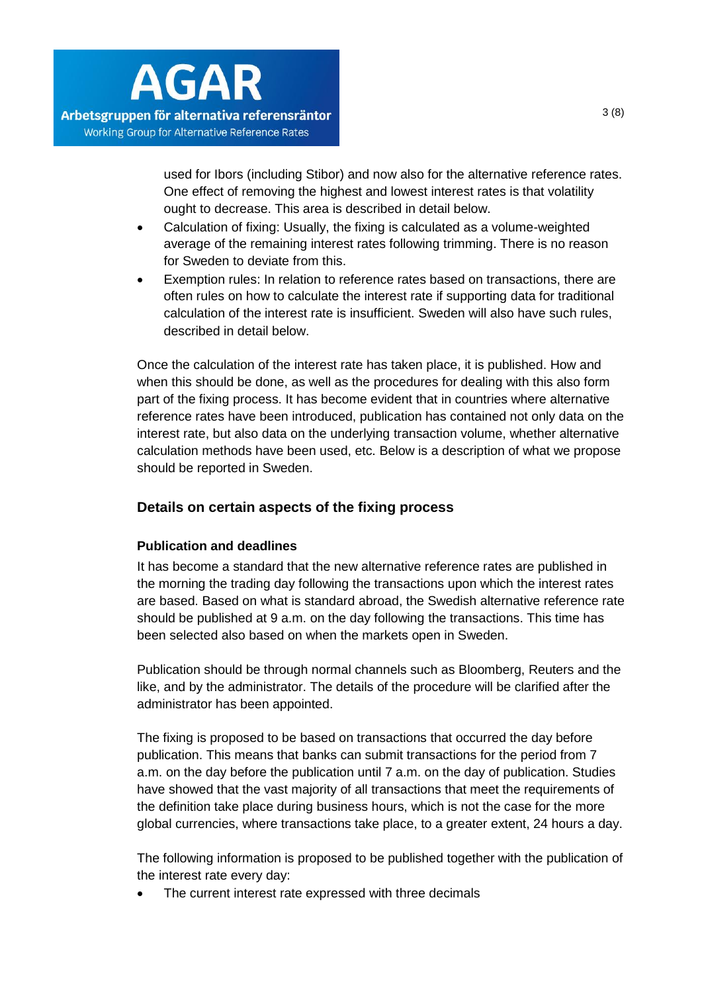

used for Ibors (including Stibor) and now also for the alternative reference rates. One effect of removing the highest and lowest interest rates is that volatility ought to decrease. This area is described in detail below.

- Calculation of fixing: Usually, the fixing is calculated as a volume-weighted average of the remaining interest rates following trimming. There is no reason for Sweden to deviate from this.
- Exemption rules: In relation to reference rates based on transactions, there are often rules on how to calculate the interest rate if supporting data for traditional calculation of the interest rate is insufficient. Sweden will also have such rules, described in detail below.

Once the calculation of the interest rate has taken place, it is published. How and when this should be done, as well as the procedures for dealing with this also form part of the fixing process. It has become evident that in countries where alternative reference rates have been introduced, publication has contained not only data on the interest rate, but also data on the underlying transaction volume, whether alternative calculation methods have been used, etc. Below is a description of what we propose should be reported in Sweden.

# <span id="page-2-0"></span>**Details on certain aspects of the fixing process**

## <span id="page-2-1"></span>**Publication and deadlines**

It has become a standard that the new alternative reference rates are published in the morning the trading day following the transactions upon which the interest rates are based. Based on what is standard abroad, the Swedish alternative reference rate should be published at 9 a.m. on the day following the transactions. This time has been selected also based on when the markets open in Sweden.

Publication should be through normal channels such as Bloomberg, Reuters and the like, and by the administrator. The details of the procedure will be clarified after the administrator has been appointed.

The fixing is proposed to be based on transactions that occurred the day before publication. This means that banks can submit transactions for the period from 7 a.m. on the day before the publication until 7 a.m. on the day of publication. Studies have showed that the vast majority of all transactions that meet the requirements of the definition take place during business hours, which is not the case for the more global currencies, where transactions take place, to a greater extent, 24 hours a day.

The following information is proposed to be published together with the publication of the interest rate every day:

The current interest rate expressed with three decimals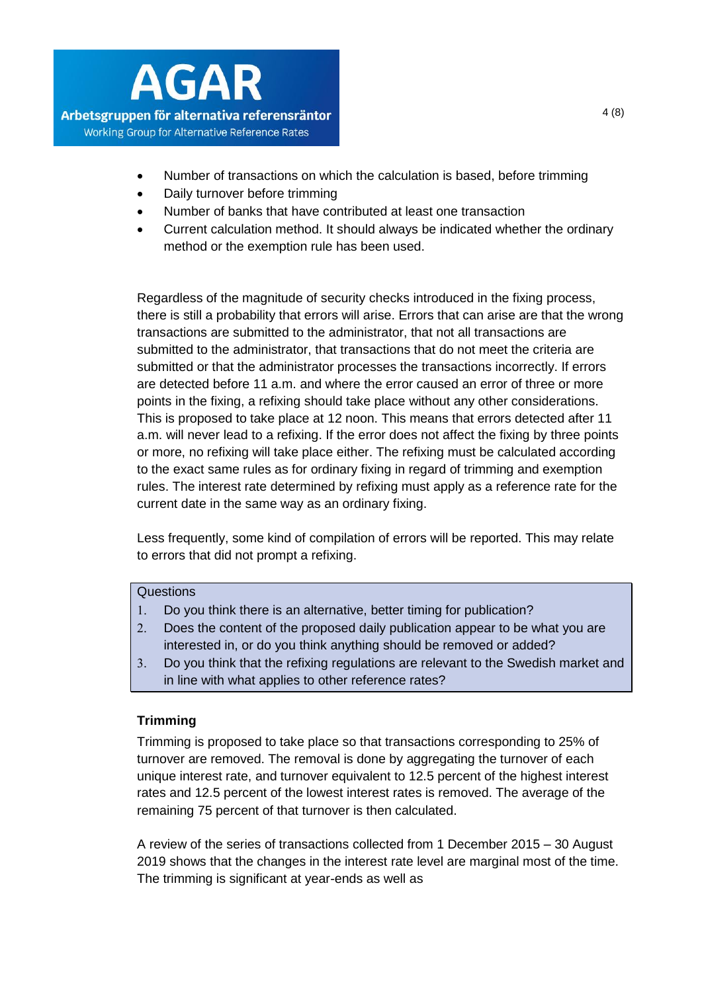

- Number of transactions on which the calculation is based, before trimming
- Daily turnover before trimming
- Number of banks that have contributed at least one transaction
- Current calculation method. It should always be indicated whether the ordinary method or the exemption rule has been used.

Regardless of the magnitude of security checks introduced in the fixing process, there is still a probability that errors will arise. Errors that can arise are that the wrong transactions are submitted to the administrator, that not all transactions are submitted to the administrator, that transactions that do not meet the criteria are submitted or that the administrator processes the transactions incorrectly. If errors are detected before 11 a.m. and where the error caused an error of three or more points in the fixing, a refixing should take place without any other considerations. This is proposed to take place at 12 noon. This means that errors detected after 11 a.m. will never lead to a refixing. If the error does not affect the fixing by three points or more, no refixing will take place either. The refixing must be calculated according to the exact same rules as for ordinary fixing in regard of trimming and exemption rules. The interest rate determined by refixing must apply as a reference rate for the current date in the same way as an ordinary fixing.

Less frequently, some kind of compilation of errors will be reported. This may relate to errors that did not prompt a refixing.

# **Questions**

- Do you think there is an alternative, better timing for publication?
- Does the content of the proposed daily publication appear to be what you are interested in, or do you think anything should be removed or added?
- Do you think that the refixing regulations are relevant to the Swedish market and in line with what applies to other reference rates?

# <span id="page-3-0"></span>**Trimming**

Trimming is proposed to take place so that transactions corresponding to 25% of turnover are removed. The removal is done by aggregating the turnover of each unique interest rate, and turnover equivalent to 12.5 percent of the highest interest rates and 12.5 percent of the lowest interest rates is removed. The average of the remaining 75 percent of that turnover is then calculated.

A review of the series of transactions collected from 1 December 2015 – 30 August 2019 shows that the changes in the interest rate level are marginal most of the time. The trimming is significant at year-ends as well as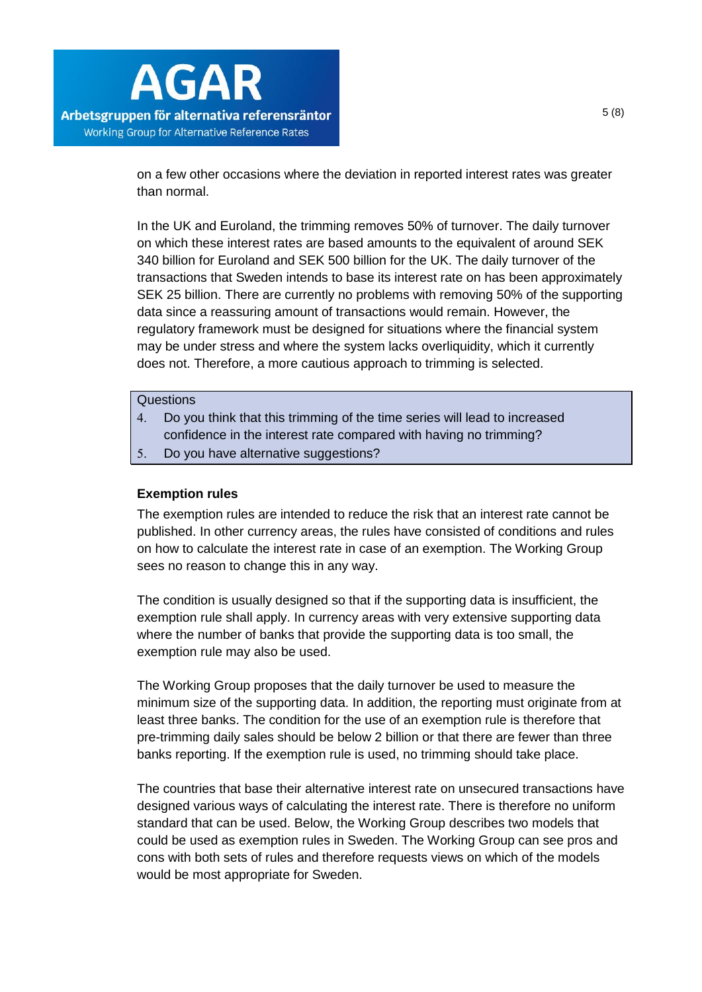

on a few other occasions where the deviation in reported interest rates was greater than normal.

In the UK and Euroland, the trimming removes 50% of turnover. The daily turnover on which these interest rates are based amounts to the equivalent of around SEK 340 billion for Euroland and SEK 500 billion for the UK. The daily turnover of the transactions that Sweden intends to base its interest rate on has been approximately SEK 25 billion. There are currently no problems with removing 50% of the supporting data since a reassuring amount of transactions would remain. However, the regulatory framework must be designed for situations where the financial system may be under stress and where the system lacks overliquidity, which it currently does not. Therefore, a more cautious approach to trimming is selected.

#### **Questions**

- Do you think that this trimming of the time series will lead to increased confidence in the interest rate compared with having no trimming?
- <span id="page-4-0"></span>5. Do you have alternative suggestions?

### **Exemption rules**

The exemption rules are intended to reduce the risk that an interest rate cannot be published. In other currency areas, the rules have consisted of conditions and rules on how to calculate the interest rate in case of an exemption. The Working Group sees no reason to change this in any way.

The condition is usually designed so that if the supporting data is insufficient, the exemption rule shall apply. In currency areas with very extensive supporting data where the number of banks that provide the supporting data is too small, the exemption rule may also be used.

The Working Group proposes that the daily turnover be used to measure the minimum size of the supporting data. In addition, the reporting must originate from at least three banks. The condition for the use of an exemption rule is therefore that pre-trimming daily sales should be below 2 billion or that there are fewer than three banks reporting. If the exemption rule is used, no trimming should take place.

The countries that base their alternative interest rate on unsecured transactions have designed various ways of calculating the interest rate. There is therefore no uniform standard that can be used. Below, the Working Group describes two models that could be used as exemption rules in Sweden. The Working Group can see pros and cons with both sets of rules and therefore requests views on which of the models would be most appropriate for Sweden.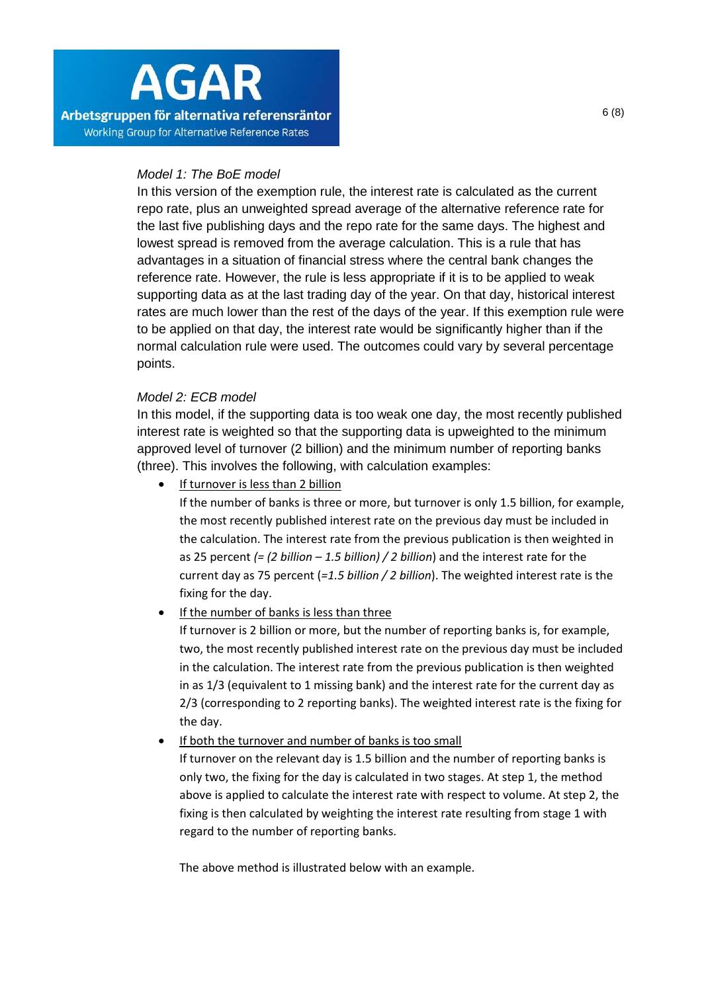# *Model 1: The BoE model*

In this version of the exemption rule, the interest rate is calculated as the current repo rate, plus an unweighted spread average of the alternative reference rate for the last five publishing days and the repo rate for the same days. The highest and lowest spread is removed from the average calculation. This is a rule that has advantages in a situation of financial stress where the central bank changes the reference rate. However, the rule is less appropriate if it is to be applied to weak supporting data as at the last trading day of the year. On that day, historical interest rates are much lower than the rest of the days of the year. If this exemption rule were to be applied on that day, the interest rate would be significantly higher than if the normal calculation rule were used. The outcomes could vary by several percentage points.

# *Model 2: ECB model*

In this model, if the supporting data is too weak one day, the most recently published interest rate is weighted so that the supporting data is upweighted to the minimum approved level of turnover (2 billion) and the minimum number of reporting banks (three). This involves the following, with calculation examples:

• If turnover is less than 2 billion

If the number of banks is three or more, but turnover is only 1.5 billion, for example, the most recently published interest rate on the previous day must be included in the calculation. The interest rate from the previous publication is then weighted in as 25 percent *(= (2 billion – 1.5 billion) / 2 billion*) and the interest rate for the current day as 75 percent (*=1.5 billion / 2 billion*). The weighted interest rate is the fixing for the day.

• If the number of banks is less than three

If turnover is 2 billion or more, but the number of reporting banks is, for example, two, the most recently published interest rate on the previous day must be included in the calculation. The interest rate from the previous publication is then weighted in as 1/3 (equivalent to 1 missing bank) and the interest rate for the current day as 2/3 (corresponding to 2 reporting banks). The weighted interest rate is the fixing for the day.

If both the turnover and number of banks is too small

If turnover on the relevant day is 1.5 billion and the number of reporting banks is only two, the fixing for the day is calculated in two stages. At step 1, the method above is applied to calculate the interest rate with respect to volume. At step 2, the fixing is then calculated by weighting the interest rate resulting from stage 1 with regard to the number of reporting banks.

The above method is illustrated below with an example.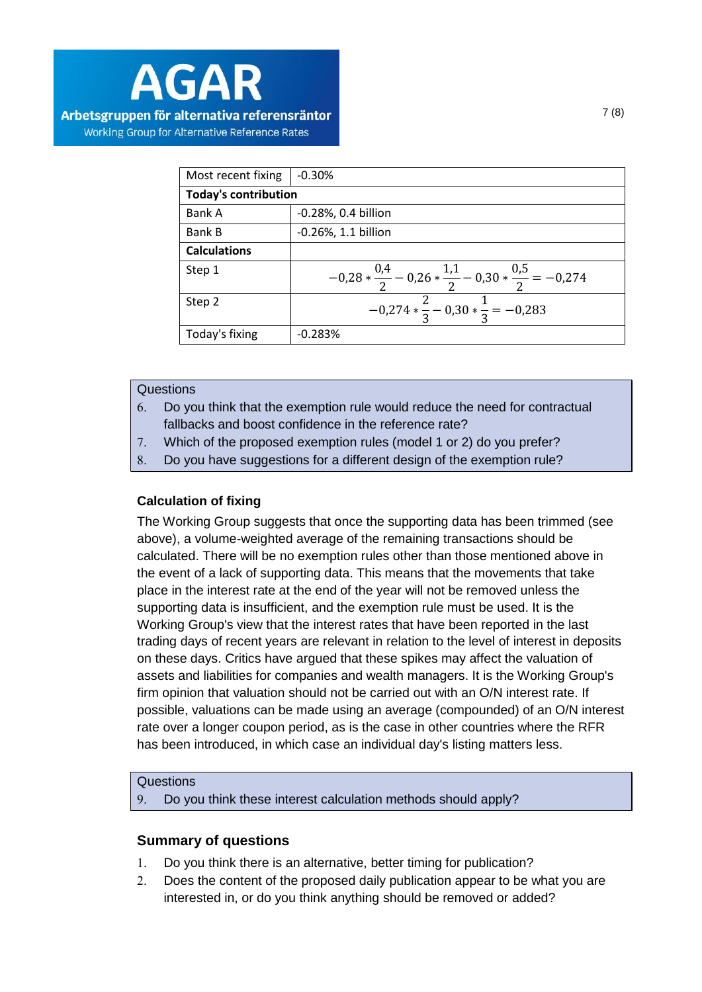

| Most recent fixing          | $-0.30%$                                                           |
|-----------------------------|--------------------------------------------------------------------|
| <b>Today's contribution</b> |                                                                    |
| Bank A                      | -0.28%, 0.4 billion                                                |
| <b>Bank B</b>               | $-0.26%$ , 1.1 billion                                             |
| <b>Calculations</b>         |                                                                    |
| Step 1                      | $-0.28*\frac{0.4}{2}-0.26*\frac{1.1}{2}-0.30*\frac{0.5}{2}=-0.274$ |
| Step 2                      | $-0,274*\frac{2}{3}-0,30*\frac{1}{3}=-0,283$                       |
| Today's fixing              | $-0.283%$                                                          |

### **Questions**

- Do you think that the exemption rule would reduce the need for contractual fallbacks and boost confidence in the reference rate?
- Which of the proposed exemption rules (model 1 or 2) do you prefer?
- <span id="page-6-0"></span>Do you have suggestions for a different design of the exemption rule?

# **Calculation of fixing**

The Working Group suggests that once the supporting data has been trimmed (see above), a volume-weighted average of the remaining transactions should be calculated. There will be no exemption rules other than those mentioned above in the event of a lack of supporting data. This means that the movements that take place in the interest rate at the end of the year will not be removed unless the supporting data is insufficient, and the exemption rule must be used. It is the Working Group's view that the interest rates that have been reported in the last trading days of recent years are relevant in relation to the level of interest in deposits on these days. Critics have argued that these spikes may affect the valuation of assets and liabilities for companies and wealth managers. It is the Working Group's firm opinion that valuation should not be carried out with an O/N interest rate. If possible, valuations can be made using an average (compounded) of an O/N interest rate over a longer coupon period, as is the case in other countries where the RFR has been introduced, in which case an individual day's listing matters less.

## **Questions**

<span id="page-6-1"></span>Do you think these interest calculation methods should apply?

## **Summary of questions**

- Do you think there is an alternative, better timing for publication?
- Does the content of the proposed daily publication appear to be what you are interested in, or do you think anything should be removed or added?